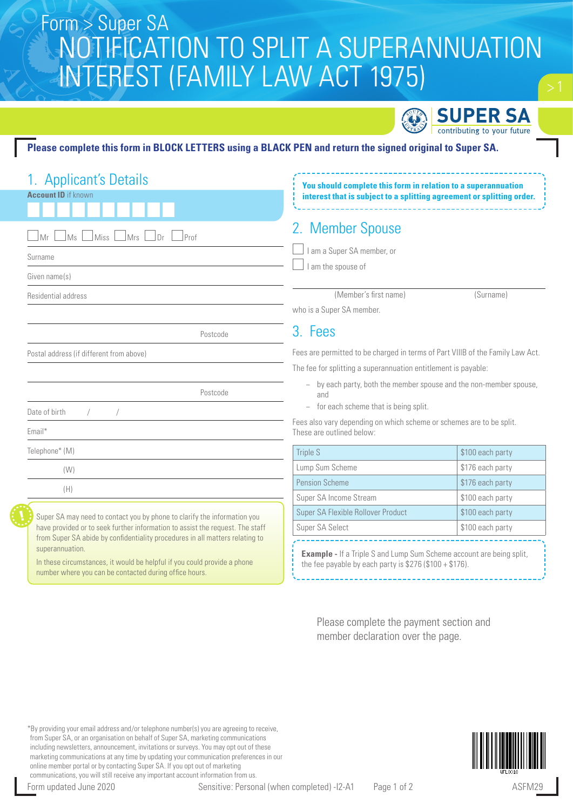# NOTIFICATION TO SPLIT A SUPERANNUATION INTEREST (FAMILY LAW ACT 1975) Form > Super SA



#### **Please complete this form in BLOCK LETTERS using a BLACK PEN and return the signed original to Super SA.**

| 1. Applicant's Details                                                                                                                                    | You should complete this form in relation to a superannuation<br>interest that is subject to a splitting agreement or splitting order. |                  |  |
|-----------------------------------------------------------------------------------------------------------------------------------------------------------|----------------------------------------------------------------------------------------------------------------------------------------|------------------|--|
| <b>Account ID</b> if known                                                                                                                                |                                                                                                                                        |                  |  |
| Miss<br>Ms I<br>Mrs<br>Dr<br>Prof                                                                                                                         | 2. Member Spouse                                                                                                                       |                  |  |
| Surname                                                                                                                                                   | I am a Super SA member, or                                                                                                             |                  |  |
| Given name(s)                                                                                                                                             | I am the spouse of                                                                                                                     |                  |  |
| Residential address                                                                                                                                       | (Member's first name)                                                                                                                  | (Surname)        |  |
|                                                                                                                                                           | who is a Super SA member.                                                                                                              |                  |  |
| Postcode                                                                                                                                                  | 3. Fees                                                                                                                                |                  |  |
| Postal address (if different from above)                                                                                                                  | Fees are permitted to be charged in terms of Part VIIIB of the Family Law Act.                                                         |                  |  |
|                                                                                                                                                           | The fee for splitting a superannuation entitlement is payable:                                                                         |                  |  |
| Postcode                                                                                                                                                  | - by each party, both the member spouse and the non-member spouse,<br>and                                                              |                  |  |
| Date of birth                                                                                                                                             | - for each scheme that is being split.                                                                                                 |                  |  |
| Email*                                                                                                                                                    | Fees also vary depending on which scheme or schemes are to be split.<br>These are outlined below:                                      |                  |  |
| Telephone* (M)                                                                                                                                            | <b>Triple S</b>                                                                                                                        | \$100 each party |  |
| (W)                                                                                                                                                       | Lump Sum Scheme                                                                                                                        | \$176 each party |  |
| (H)                                                                                                                                                       | Pension Scheme                                                                                                                         | \$176 each party |  |
|                                                                                                                                                           | Super SA Income Stream                                                                                                                 | \$100 each party |  |
| Super SA may need to contact you by phone to clarify the information you<br>have provided or to seek further information to assist the request. The staff | Super SA Flexible Rollover Product                                                                                                     | \$100 each party |  |
|                                                                                                                                                           | Super SA Select                                                                                                                        | \$100 each party |  |
| from Super SA abide by confidentiality procedures in all matters relating to<br>superannuation.                                                           |                                                                                                                                        |                  |  |
| In these circumstances, it would be helpful if you could provide a phone<br>number where you can be contacted during office hours.                        | <b>Example - If a Triple S and Lump Sum Scheme account are being split,</b><br>the fee payable by each party is $$276 ($100 + $176)$ . |                  |  |

Please complete the payment section and member declaration over the page.

\*By providing your email address and/or telephone number(s) you are agreeing to receive, from Super SA, or an organisation on behalf of Super SA, marketing communications including newsletters, announcement, invitations or surveys. You may opt out of these marketing communications at any time by updating your communication preferences in our online member portal or by contacting Super SA. If you opt out of marketing communications, you will still receive any important account information from us.